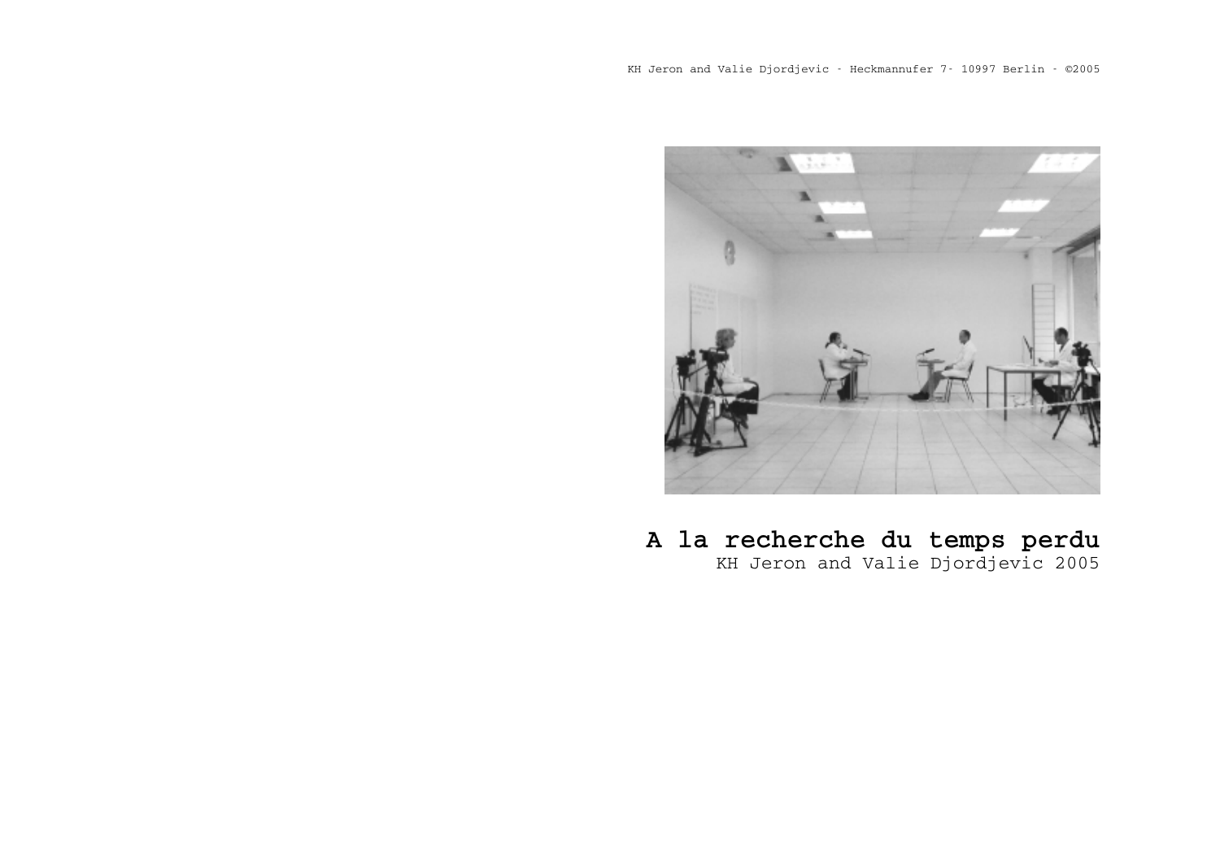

**A la recherche du temps perdu** KH Jeron and Valie Djordjevic 2005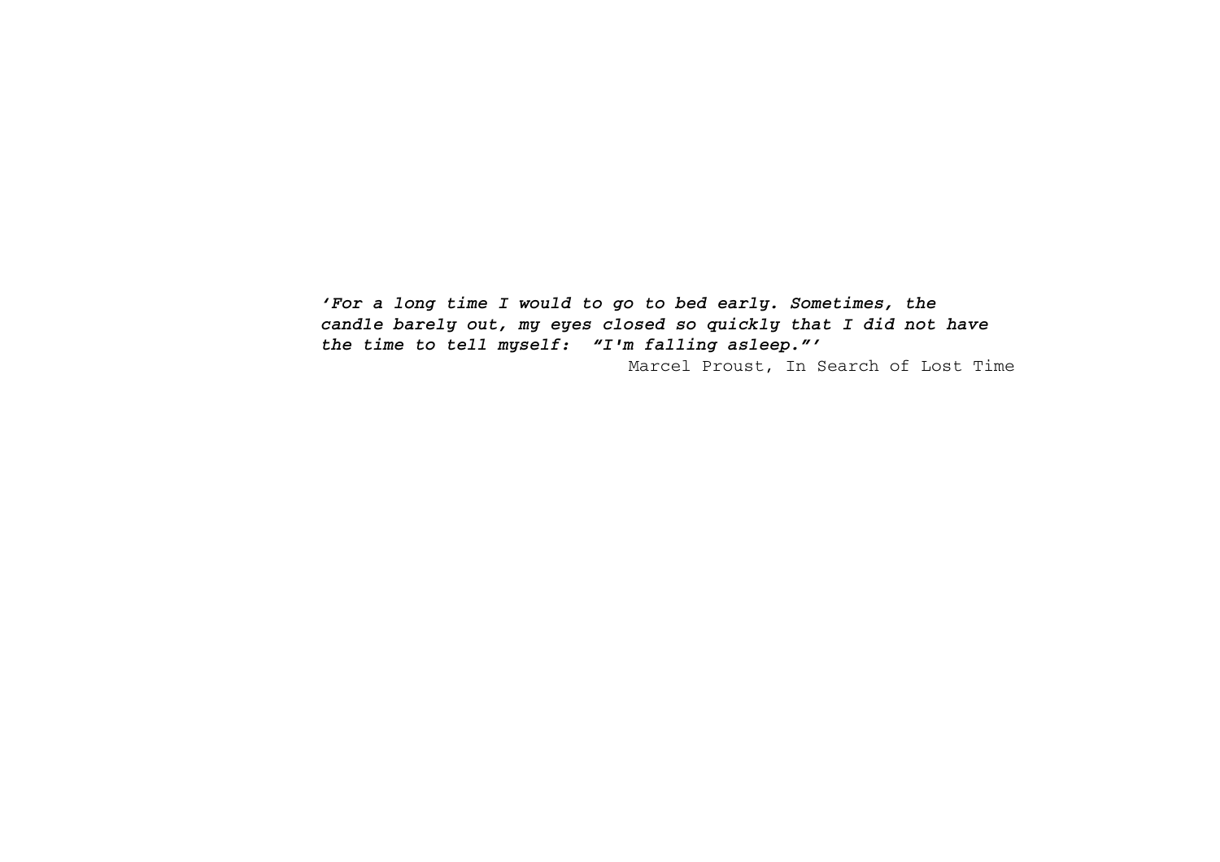*'For a long time I would to go to bed early. Sometimes, the candle barely out, my eyes closed so quickly that I did not have the time to tell myself: "I'm falling asleep."'* Marcel Proust, In Search of Lost Time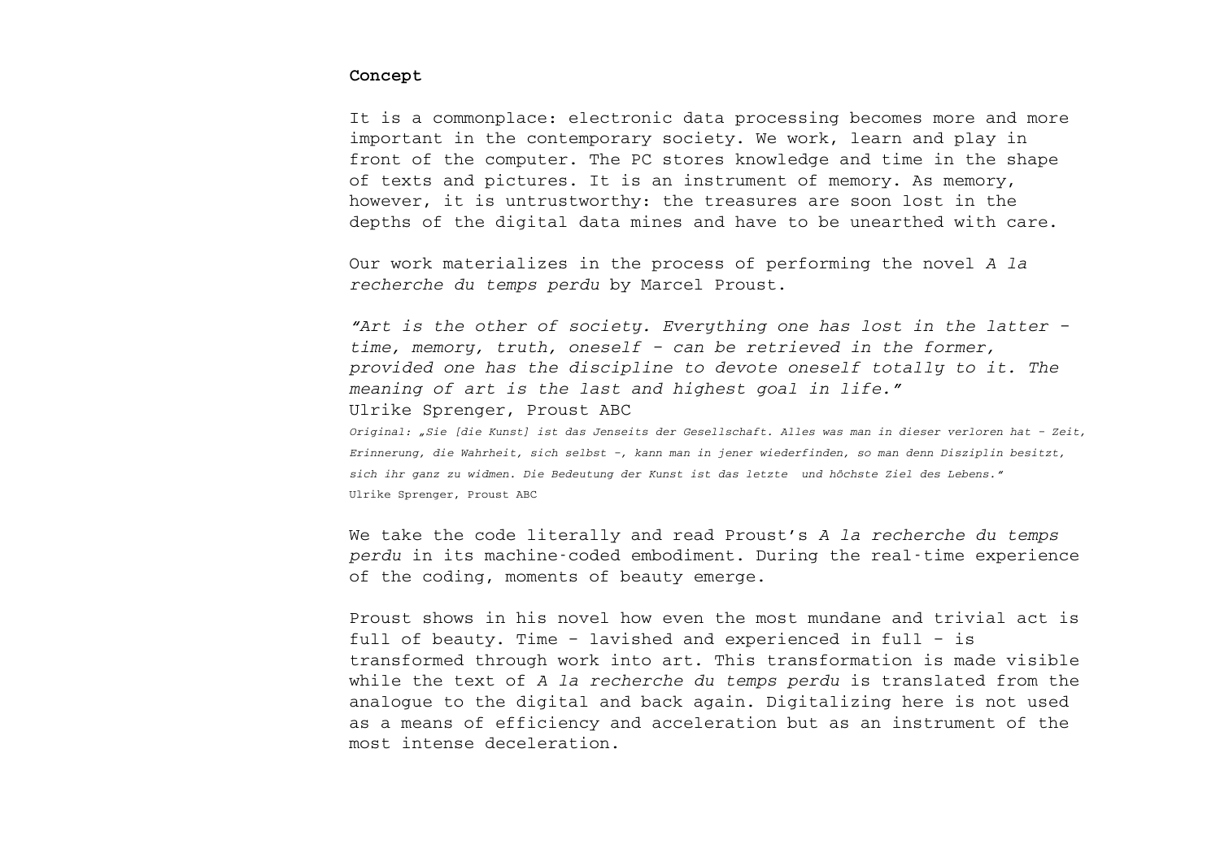## **Concept**

It is a commonplace: electronic data processing becomes more and more important in the contemporary society. We work, learn and play in front of the computer. The PC stores knowledge and time in the shape of texts and pictures. It is an instrument of memory. As memory, however, it is untrustworthy: the treasures are soon lost in the depths of the digital data mines and have to be unearthed with care.

Our work materializes in the process of performing the novel *A la recherche du temps perdu* by Marcel Proust.

*"Art is the other of society. Everything one has lost in the latter – time, memory, truth, oneself – can be retrieved in the former, provided one has the discipline to devote oneself totally to it. The meaning of art is the last and highest goal in life."* Ulrike Sprenger, Proust ABC

Original: "Sie [die Kunst] ist das Jenseits der Gesellschaft. Alles was man in dieser verloren hat - Zeit, *Erinnerung, die Wahrheit, sich selbst –, kann man in jener wiederfinden, so man denn Disziplin besitzt, sich ihr ganz zu widmen. Die Bedeutung der Kunst ist das letzte und höchste Ziel des Lebens."* Ulrike Sprenger, Proust ABC

We take the code literally and read Proust's *A la recherche du temps perdu* in its machine-coded embodiment. During the real-time experience of the coding, moments of beauty emerge.

Proust shows in his novel how even the most mundane and trivial act is full of beauty. Time – lavished and experienced in full – is transformed through work into art. This transformation is made visible while the text of *A la recherche du temps perdu* is translated from the analogue to the digital and back again. Digitalizing here is not used as a means of efficiency and acceleration but as an instrument of the most intense deceleration.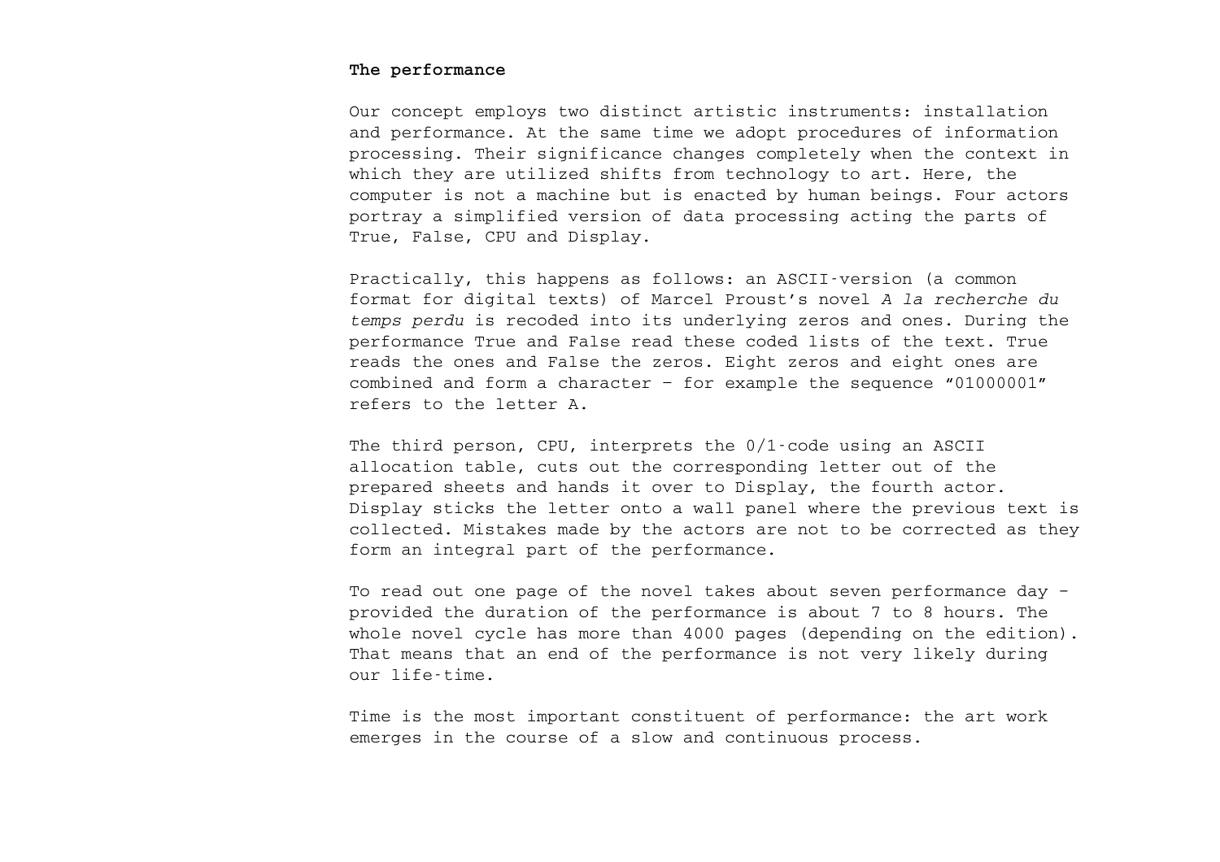## **The performance**

Our concept employs two distinct artistic instruments: installation and performance. At the same time we adopt procedures of information processing. Their significance changes completely when the context in which they are utilized shifts from technology to art. Here, the computer is not a machine but is enacted by human beings. Four actors portray a simplified version of data processing acting the parts of True, False, CPU and Display.

Practically, this happens as follows: an ASCII-version (a common format for digital texts) of Marcel Proust's novel *A la recherche du temps perdu* is recoded into its underlying zeros and ones. During the performance True and False read these coded lists of the text. True reads the ones and False the zeros. Eight zeros and eight ones are combined and form a character − for example the sequence "01000001" refers to the letter A.

The third person, CPU, interprets the 0/1-code using an ASCII allocation table, cuts out the corresponding letter out of the prepared sheets and hands it over to Display, the fourth actor. Display sticks the letter onto a wall panel where the previous text is collected. Mistakes made by the actors are not to be corrected as they form an integral part of the performance.

To read out one page of the novel takes about seven performance day – provided the duration of the performance is about 7 to 8 hours. The whole novel cycle has more than 4000 pages (depending on the edition). That means that an end of the performance is not very likely during our life-time.

Time is the most important constituent of performance: the art work emerges in the course of a slow and continuous process.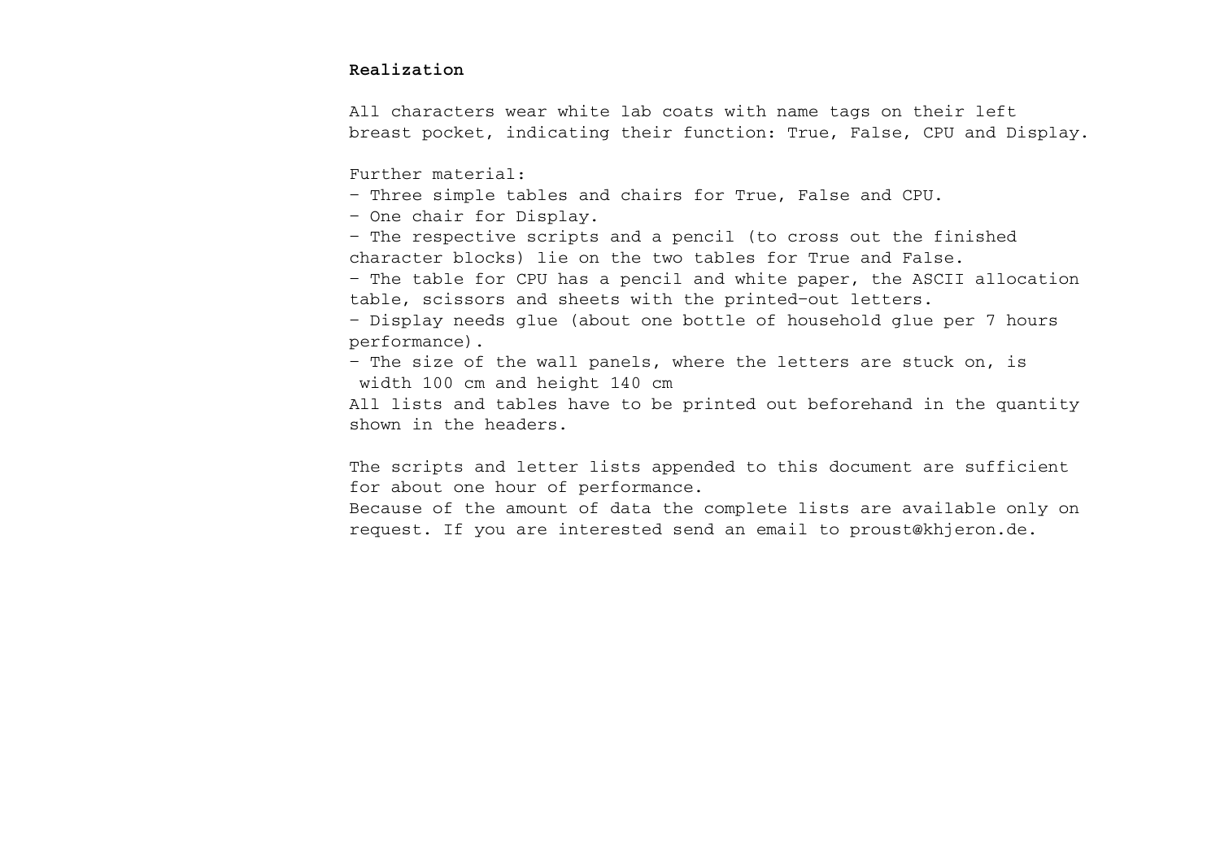## **Realization**

All characters wear white lab coats with name tags on their left breast pocket, indicating their function: True, False, CPU and Display.

Further material:

- − Three simple tables and chairs for True, False and CPU.
- − One chair for Display.

− The respective scripts and a pencil (to cross out the finished character blocks) lie on the two tables for True and False.

− The table for CPU has a pencil and white paper, the ASCII allocation table, scissors and sheets with the printed−out letters.

− Display needs glue (about one bottle of household glue per 7 hours performance).

− The size of the wall panels, where the letters are stuck on, is width 100 cm and height 140 cm

All lists and tables have to be printed out beforehand in the quantity shown in the headers.

The scripts and letter lists appended to this document are sufficient for about one hour of performance.

Because of the amount of data the complete lists are available only on request. If you are interested send an email to proust@khjeron.de.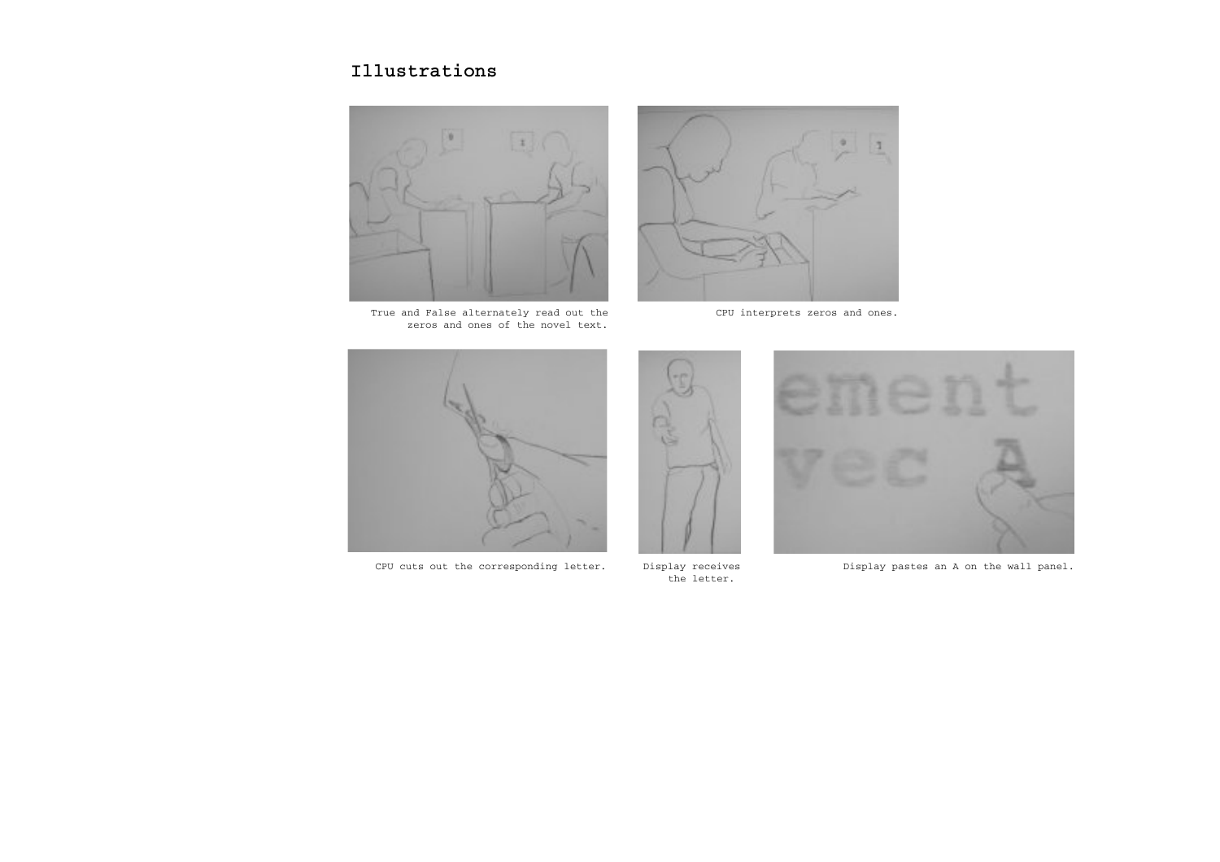## **Illustrations**



True and False alternately read out the zeros and ones of the novel text.



CPU interprets zeros and ones.



CPU cuts out the corresponding letter. Display receives



the letter.

Display pastes an A on the wall panel.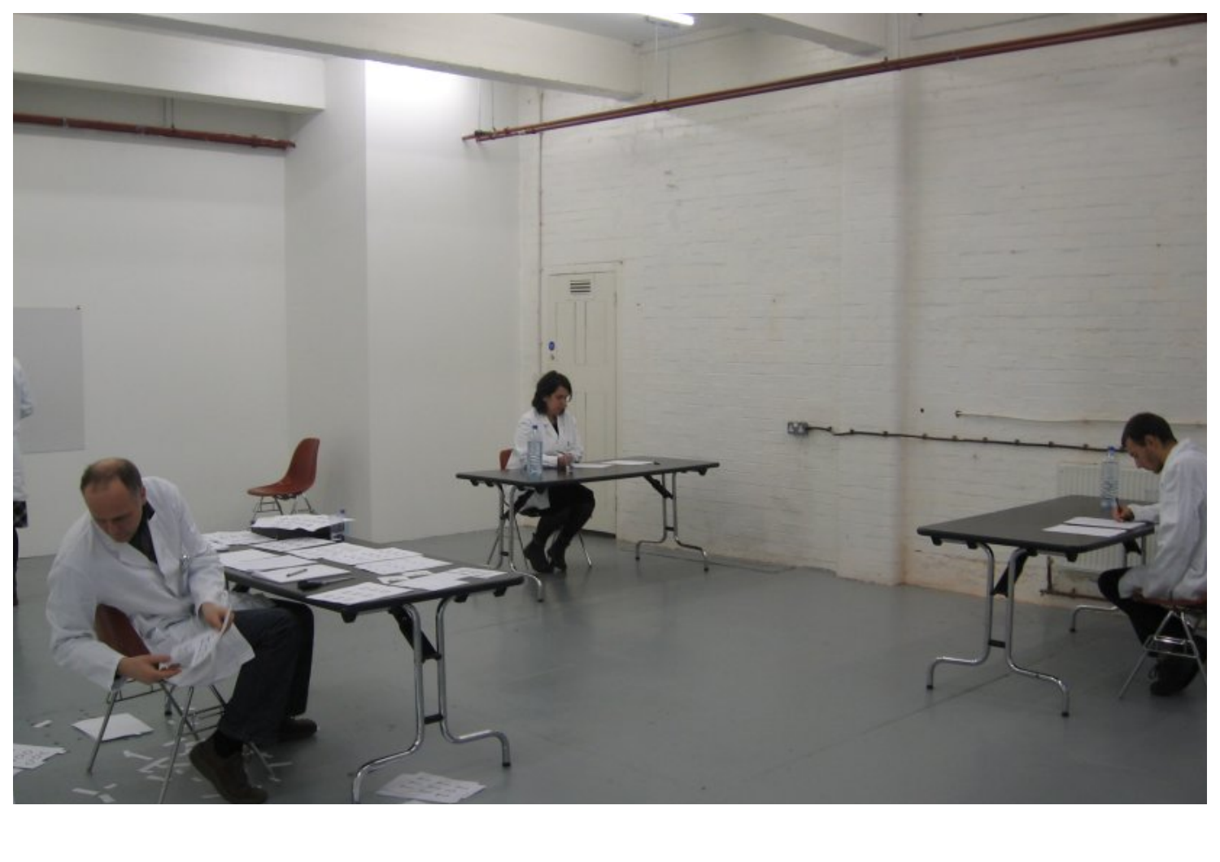